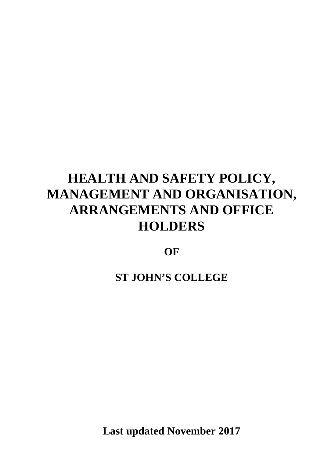# **HEALTH AND SAFETY POLICY, MANAGEMENT AND ORGANISATION, ARRANGEMENTS AND OFFICE HOLDERS**

**OF**

**ST JOHN'S COLLEGE**

**Last updated November 2017**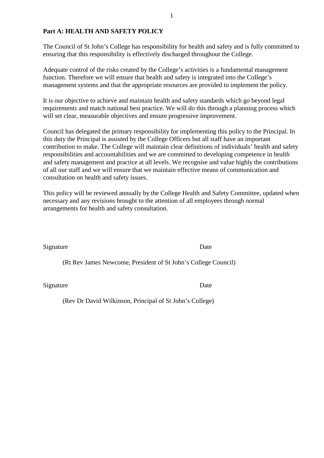## **Part A: HEALTH AND SAFETY POLICY**

The Council of St John's College has responsibility for health and safety and is fully committed to ensuring that this responsibility is effectively discharged throughout the College.

Adequate control of the risks created by the College's activities is a fundamental management function. Therefore we will ensure that health and safety is integrated into the College's management systems and that the appropriate resources are provided to implement the policy.

It is our objective to achieve and maintain health and safety standards which go beyond legal requirements and match national best practice. We will do this through a planning process which will set clear, measurable objectives and ensure progressive improvement.

Council has delegated the primary responsibility for implementing this policy to the Principal. In this duty the Principal is assisted by the College Officers but all staff have an important contribution to make. The College will maintain clear definitions of individuals' health and safety responsibilities and accountabilities and we are committed to developing competence in health and safety management and practice at all levels. We recognise and value highly the contributions of all our staff and we will ensure that we maintain effective means of communication and consultation on health and safety issues.

This policy will be reviewed annually by the College Health and Safety Committee, updated when necessary and any revisions brought to the attention of all employees through normal arrangements for health and safety consultation.

Signature Date

(Rt Rev James Newcome, President of St John's College Council)

Signature Date

(Rev Dr David Wilkinson, Principal of St John's College)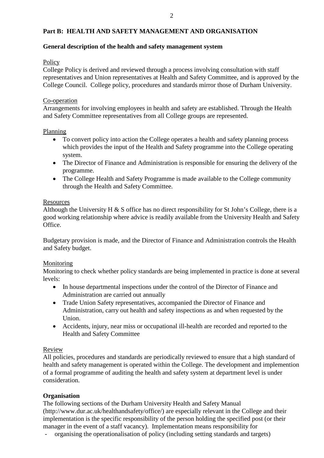# **Part B: HEALTH AND SAFETY MANAGEMENT AND ORGANISATION**

## **General description of the health and safety management system**

## Policy

College Policy is derived and reviewed through a process involving consultation with staff representatives and Union representatives at Health and Safety Committee, and is approved by the College Council. College policy, procedures and standards mirror those of Durham University.

## Co-operation

Arrangements for involving employees in health and safety are established. Through the Health and Safety Committee representatives from all College groups are represented.

## Planning

- To convert policy into action the College operates a health and safety planning process which provides the input of the Health and Safety programme into the College operating system.
- The Director of Finance and Administration is responsible for ensuring the delivery of the programme.
- The College Health and Safety Programme is made available to the College community through the Health and Safety Committee.

## **Resources**

Although the University H  $\&$  S office has no direct responsibility for St John's College, there is a good working relationship where advice is readily available from the University Health and Safety Office.

Budgetary provision is made, and the Director of Finance and Administration controls the Health and Safety budget.

## Monitoring

Monitoring to check whether policy standards are being implemented in practice is done at several levels:

- In house departmental inspections under the control of the Director of Finance and Administration are carried out annually
- Trade Union Safety representatives, accompanied the Director of Finance and Administration, carry out health and safety inspections as and when requested by the Union.
- Accidents, injury, near miss or occupational ill-health are recorded and reported to the Health and Safety Committee

## Review

All policies, procedures and standards are periodically reviewed to ensure that a high standard of health and safety management is operated within the College. The development and implemention of a formal programme of auditing the health and safety system at department level is under consideration.

## **Organisation**

The following sections of the Durham University Health and Safety Manual (http://www.dur.ac.uk/healthandsafety/office/) are especially relevant in the College and their implementation is the specific responsibility of the person holding the specified post (or their manager in the event of a staff vacancy). Implementation means responsibility for

- organising the operationalisation of policy (including setting standards and targets)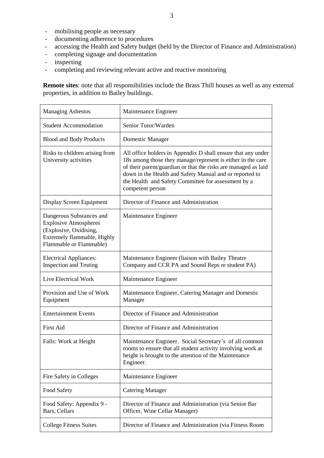- mobilising people as necessary
- documenting adherence to procedures
- accessing the Health and Safety budget (held by the Director of Finance and Administration)
- completing signage and documentation
- inspecting
- completing and reviewing relevant active and reactive monitoring

**Remote sites**: note that all responsibilities include the Brass Thill houses as well as any external properties, in addition to Bailey buildings.

| <b>Managing Asbestos</b>                                                                                                                     | Maintenance Engineer                                                                                                                                                                                                                                                                                                                |  |
|----------------------------------------------------------------------------------------------------------------------------------------------|-------------------------------------------------------------------------------------------------------------------------------------------------------------------------------------------------------------------------------------------------------------------------------------------------------------------------------------|--|
| <b>Student Accommodation</b>                                                                                                                 | Senior Tutor/Warden                                                                                                                                                                                                                                                                                                                 |  |
| <b>Blood and Body Products</b>                                                                                                               | Domestic Manager                                                                                                                                                                                                                                                                                                                    |  |
| Risks to children arising from<br>University activities                                                                                      | All office holders in Appendix D shall ensure that any under<br>18s among those they manage/represent is either in the care<br>of their parent/guardian or that the risks are managed as laid<br>down in the Health and Safety Manual and or reported to<br>the Health and Safety Committee for assessment by a<br>competent person |  |
| Display Screen Equipment                                                                                                                     | Director of Finance and Administration                                                                                                                                                                                                                                                                                              |  |
| Dangerous Substances and<br><b>Explosive Atmospheres</b><br>(Explosive, Oxidising,<br>Extremely flammable, Highly<br>Flammable or Flammable) | Maintenance Engineer                                                                                                                                                                                                                                                                                                                |  |
| <b>Electrical Appliances:</b><br><b>Inspection and Testing</b>                                                                               | Maintenance Engineer (liaison with Bailey Theatre<br>Company and CCR PA and Sound Reps re student PA)                                                                                                                                                                                                                               |  |
| Live Electrical Work                                                                                                                         | Maintenance Engineer                                                                                                                                                                                                                                                                                                                |  |
| Provision and Use of Work<br>Equipment                                                                                                       | Maintenance Engineer, Catering Manager and Domestic<br>Manager                                                                                                                                                                                                                                                                      |  |
| <b>Entertainment Events</b>                                                                                                                  | Director of Finance and Administration                                                                                                                                                                                                                                                                                              |  |
| <b>First Aid</b>                                                                                                                             | Director of Finance and Administration                                                                                                                                                                                                                                                                                              |  |
| Falls: Work at Height                                                                                                                        | Maintenance Engineer. Social Secretary's of all common<br>rooms to ensure that all student activity involving work at<br>height is brought to the attention of the Maintenance<br>Engineer.                                                                                                                                         |  |
| Fire Safety in Colleges                                                                                                                      | Maintenance Engineer                                                                                                                                                                                                                                                                                                                |  |
| Food Safety                                                                                                                                  | <b>Catering Manager</b>                                                                                                                                                                                                                                                                                                             |  |
| Food Safety: Appendix 9 -<br>Bars, Cellars                                                                                                   | Director of Finance and Administration (via Senior Bar<br>Officer, Wine Cellar Manager)                                                                                                                                                                                                                                             |  |
| <b>College Fitness Suites</b>                                                                                                                | Director of Finance and Administration (via Fitness Room                                                                                                                                                                                                                                                                            |  |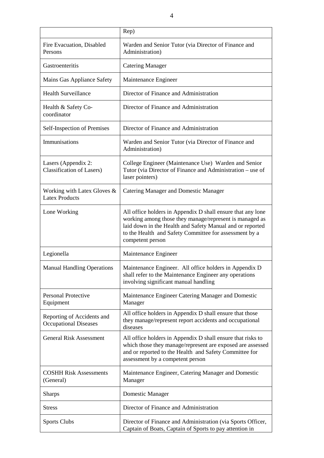|                                                            | Rep)                                                                                                                                                                                                                                                              |  |
|------------------------------------------------------------|-------------------------------------------------------------------------------------------------------------------------------------------------------------------------------------------------------------------------------------------------------------------|--|
| Fire Evacuation, Disabled<br>Persons                       | Warden and Senior Tutor (via Director of Finance and<br>Administration)                                                                                                                                                                                           |  |
| Gastroenteritis                                            | <b>Catering Manager</b>                                                                                                                                                                                                                                           |  |
| Mains Gas Appliance Safety                                 | Maintenance Engineer                                                                                                                                                                                                                                              |  |
| <b>Health Surveillance</b>                                 | Director of Finance and Administration                                                                                                                                                                                                                            |  |
| Health & Safety Co-<br>coordinator                         | Director of Finance and Administration                                                                                                                                                                                                                            |  |
| Self-Inspection of Premises                                | Director of Finance and Administration                                                                                                                                                                                                                            |  |
| Immunisations                                              | Warden and Senior Tutor (via Director of Finance and<br>Administration)                                                                                                                                                                                           |  |
| Lasers (Appendix 2:<br><b>Classification of Lasers</b> )   | College Engineer (Maintenance Use) Warden and Senior<br>Tutor (via Director of Finance and Administration – use of<br>laser pointers)                                                                                                                             |  |
| Working with Latex Gloves &<br><b>Latex Products</b>       | Catering Manager and Domestic Manager                                                                                                                                                                                                                             |  |
| Lone Working                                               | All office holders in Appendix D shall ensure that any lone<br>working among those they manage/represent is managed as<br>laid down in the Health and Safety Manual and or reported<br>to the Health and Safety Committee for assessment by a<br>competent person |  |
| Legionella                                                 | Maintenance Engineer                                                                                                                                                                                                                                              |  |
| <b>Manual Handling Operations</b>                          | Maintenance Engineer. All office holders in Appendix D<br>shall refer to the Maintenance Engineer any operations<br>involving significant manual handling                                                                                                         |  |
| <b>Personal Protective</b><br>Equipment                    | Maintenance Engineer Catering Manager and Domestic<br>Manager                                                                                                                                                                                                     |  |
| Reporting of Accidents and<br><b>Occupational Diseases</b> | All office holders in Appendix D shall ensure that those<br>they manage/represent report accidents and occupational<br>diseases                                                                                                                                   |  |
| <b>General Risk Assessment</b>                             | All office holders in Appendix D shall ensure that risks to<br>which those they manage/represent are exposed are assessed<br>and or reported to the Health and Safety Committee for<br>assessment by a competent person                                           |  |
| <b>COSHH Risk Assessments</b><br>(General)                 | Maintenance Engineer, Catering Manager and Domestic<br>Manager                                                                                                                                                                                                    |  |
| <b>Sharps</b>                                              | Domestic Manager                                                                                                                                                                                                                                                  |  |
| <b>Stress</b>                                              | Director of Finance and Administration                                                                                                                                                                                                                            |  |
| <b>Sports Clubs</b>                                        | Director of Finance and Administration (via Sports Officer,<br>Captain of Boats, Captain of Sports to pay attention in                                                                                                                                            |  |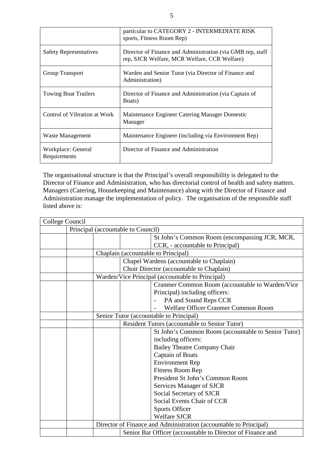|                                    | particular to CATEGORY 2 - INTERMEDIATE RISK<br>sports, Fitness Room Rep)                                  |  |
|------------------------------------|------------------------------------------------------------------------------------------------------------|--|
| <b>Safety Representatives</b>      | Director of Finance and Administration (via GMB rep. staff<br>rep, SJCR Welfare, MCR Welfare, CCR Welfare) |  |
| Group Transport                    | Warden and Senior Tutor (via Director of Finance and<br>Administration)                                    |  |
| <b>Towing Boat Trailers</b>        | Director of Finance and Administration (via Captain of<br>Boats)                                           |  |
| Control of Vibration at Work       | Maintenance Engineer Catering Manager Domestic<br>Manager                                                  |  |
| Waste Management                   | Maintenance Engineer (including via Environment Rep)                                                       |  |
| Workplace: General<br>Requirements | Director of Finance and Administration                                                                     |  |

The organisational structure is that the Principal's overall responsibility is delegated to the Director of Finance and Administration, who has directorial control of health and safety matters. Managers (Catering, Housekeeping and Maintenance) along with the Director of Finance and Administration manage the implementation of policy. The organisation of the responsible staff listed above is:

| College Council                    |                                                                   |                                               |                                                     |
|------------------------------------|-------------------------------------------------------------------|-----------------------------------------------|-----------------------------------------------------|
| Principal (accountable to Council) |                                                                   |                                               |                                                     |
|                                    |                                                                   |                                               | St John's Common Room (encompassing JCR, MCR,       |
|                                    |                                                                   |                                               | CCR, - accountable to Principal)                    |
|                                    |                                                                   | Chaplain (accountable to Principal)           |                                                     |
|                                    |                                                                   | Chapel Wardens (accountable to Chaplain)      |                                                     |
|                                    |                                                                   | Choir Director (accountable to Chaplain)      |                                                     |
|                                    | Warden/Vice Principal (accountable to Principal)                  |                                               |                                                     |
|                                    |                                                                   |                                               | Cranmer Common Room (accountable to Warden/Vice     |
|                                    |                                                                   |                                               | Principal) including officers:                      |
|                                    |                                                                   |                                               | PA and Sound Reps CCR                               |
|                                    |                                                                   |                                               | Welfare Officer Cranmer Common Room                 |
|                                    | Senior Tutor (accountable to Principal)                           |                                               |                                                     |
|                                    |                                                                   | Resident Tutors (accountable to Senior Tutor) |                                                     |
|                                    |                                                                   |                                               | St John's Common Room (accountable to Senior Tutor) |
|                                    |                                                                   |                                               | including officers:                                 |
|                                    |                                                                   |                                               | <b>Bailey Theatre Company Chair</b>                 |
|                                    |                                                                   |                                               | <b>Captain of Boats</b>                             |
|                                    |                                                                   |                                               | <b>Environment Rep</b>                              |
|                                    |                                                                   |                                               | <b>Fitness Room Rep</b>                             |
|                                    |                                                                   |                                               | President St John's Common Room                     |
|                                    |                                                                   |                                               | Services Manager of SJCR                            |
|                                    |                                                                   |                                               | Social Secretary of SJCR                            |
|                                    |                                                                   |                                               | Social Events Chair of CCR                          |
|                                    |                                                                   |                                               | <b>Sports Officer</b>                               |
|                                    |                                                                   |                                               | <b>Welfare SJCR</b>                                 |
|                                    | Director of Finance and Administration (accountable to Principal) |                                               |                                                     |
|                                    | Senior Bar Officer (accountable to Director of Finance and        |                                               |                                                     |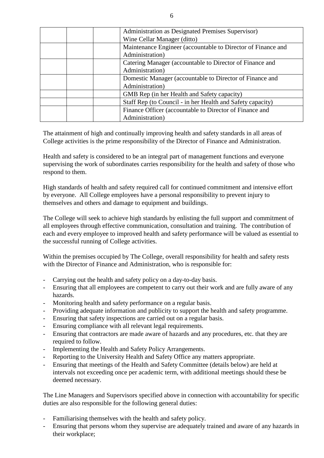| Administration as Designated Premises Supervisor)            |  |
|--------------------------------------------------------------|--|
| Wine Cellar Manager (ditto)                                  |  |
| Maintenance Engineer (accountable to Director of Finance and |  |
| Administration)                                              |  |
| Catering Manager (accountable to Director of Finance and     |  |
| Administration)                                              |  |
| Domestic Manager (accountable to Director of Finance and     |  |
| Administration)                                              |  |
| GMB Rep (in her Health and Safety capacity)                  |  |
| Staff Rep (to Council - in her Health and Safety capacity)   |  |
| Finance Officer (accountable to Director of Finance and      |  |
| Administration)                                              |  |

The attainment of high and continually improving health and safety standards in all areas of College activities is the prime responsibility of the Director of Finance and Administration.

Health and safety is considered to be an integral part of management functions and everyone supervising the work of subordinates carries responsibility for the health and safety of those who respond to them.

High standards of health and safety required call for continued commitment and intensive effort by everyone. All College employees have a personal responsibility to prevent injury to themselves and others and damage to equipment and buildings.

The College will seek to achieve high standards by enlisting the full support and commitment of all employees through effective communication, consultation and training. The contribution of each and every employee to improved health and safety performance will be valued as essential to the successful running of College activities.

Within the premises occupied by The College, overall responsibility for health and safety rests with the Director of Finance and Administration, who is responsible for:

- Carrying out the health and safety policy on a day-to-day basis.
- Ensuring that all employees are competent to carry out their work and are fully aware of any hazards.
- Monitoring health and safety performance on a regular basis.
- Providing adequate information and publicity to support the health and safety programme.
- Ensuring that safety inspections are carried out on a regular basis.
- Ensuring compliance with all relevant legal requirements.
- Ensuring that contractors are made aware of hazards and any procedures, etc. that they are required to follow.
- Implementing the Health and Safety Policy Arrangements.
- Reporting to the University Health and Safety Office any matters appropriate.
- Ensuring that meetings of the Health and Safety Committee (details below) are held at intervals not exceeding once per academic term, with additional meetings should these be deemed necessary.

The Line Managers and Supervisors specified above in connection with accountability for specific duties are also responsible for the following general duties:

- Familiarising themselves with the health and safety policy.
- Ensuring that persons whom they supervise are adequately trained and aware of any hazards in their workplace;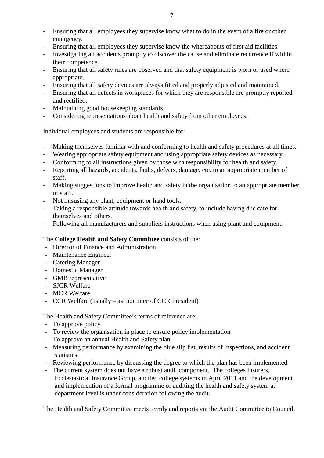- Ensuring that all employees they supervise know what to do in the event of a fire or other emergency.
- Ensuring that all employees they supervise know the whereabouts of first aid facilities.
- Investigating all accidents promptly to discover the cause and eliminate recurrence if within their competence.
- Ensuring that all safety rules are observed and that safety equipment is worn or used where appropriate.
- Ensuring that all safety devices are always fitted and properly adjusted and maintained.
- Ensuring that all defects in workplaces for which they are responsible are promptly reported and rectified.
- Maintaining good housekeeping standards.
- Considering representations about health and safety from other employees.

Individual employees and students are responsible for:

- Making themselves familiar with and conforming to health and safety procedures at all times.
- Wearing appropriate safety equipment and using appropriate safety devices as necessary.
- Conforming to all instructions given by those with responsibility for health and safety.
- Reporting all hazards, accidents, faults, defects, damage, etc. to an appropriate member of staff.
- Making suggestions to improve health and safety in the organisation to an appropriate member of staff.
- Not misusing any plant, equipment or hand tools.
- Taking a responsible attitude towards health and safety, to include having due care for themselves and others.
- Following all manufacturers and suppliers instructions when using plant and equipment.

## The **College Health and Safety Committee** consists of the:

- Director of Finance and Administration
- Maintenance Engineer
- Catering Manager
- Domestic Manager
- GMB representative
- SJCR Welfare
- MCR Welfare
- CCR Welfare (usually as nominee of CCR President)

The Health and Safety Committee's terms of reference are:

- To approve policy
- To review the organisation in place to ensure policy implementation
- To approve an annual Health and Safety plan
- Measuring performance by examining the blue slip list, results of inspections, and accident statistics
- Reviewing performance by discussing the degree to which the plan has been implemented
- The current system does not have a robust audit component. The colleges insurers, Ecclesiastical Insurance Group, audited college systems in April 2011 and the development and implemention of a formal programme of auditing the health and safety system at department level is under consideration following the audit.

The Health and Safety Committee meets termly and reports via the Audit Committee to Council.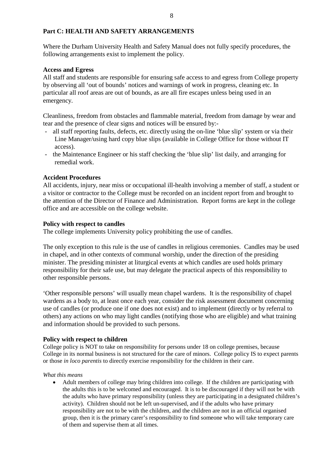# **Part C: HEALTH AND SAFETY ARRANGEMENTS**

Where the Durham University Health and Safety Manual does not fully specify procedures, the following arrangements exist to implement the policy.

## **Access and Egress**

All staff and students are responsible for ensuring safe access to and egress from College property by observing all 'out of bounds' notices and warnings of work in progress, cleaning etc. In particular all roof areas are out of bounds, as are all fire escapes unless being used in an emergency.

Cleanliness, freedom from obstacles and flammable material, freedom from damage by wear and tear and the presence of clear signs and notices will be ensured by:-

- all staff reporting faults, defects, etc. directly using the on-line 'blue slip' system or via their Line Manager/using hard copy blue slips (available in College Office for those without IT access).
- the Maintenance Engineer or his staff checking the 'blue slip' list daily, and arranging for remedial work.

# **Accident Procedures**

All accidents, injury, near miss or occupational ill-health involving a member of staff, a student or a visitor or contractor to the College must be recorded on an incident report from and brought to the attention of the Director of Finance and Administration. Report forms are kept in the college office and are accessible on the college website.

## **Policy with respect to candles**

The college implements University policy prohibiting the use of candles.

The only exception to this rule is the use of candles in religious ceremonies. Candles may be used in chapel, and in other contexts of communal worship, under the direction of the presiding minister. The presiding minister at liturgical events at which candles are used holds primary responsibility for their safe use, but may delegate the practical aspects of this responsibility to other responsible persons.

'Other responsible persons' will usually mean chapel wardens. It is the responsibility of chapel wardens as a body to, at least once each year, consider the risk assessment document concerning use of candles (or produce one if one does not exist) and to implement (directly or by referral to others) any actions on who may light candles (notifying those who are eligible) and what training and information should be provided to such persons.

## **Policy with respect to children**

College policy is NOT to take on responsibility for persons under 18 on college premises, because College in its normal business is not structured for the care of minors. College policy IS to expect parents or those *in loco parentis* to directly exercise responsibility for the children in their care.

## *What this means*

• Adult members of college may bring children into college. If the children are participating with the adults this is to be welcomed and encouraged. It is to be discouraged if they will not be with the adults who have primary responsibility (unless they are participating in a designated children's activity). Children should not be left un-supervised, and if the adults who have primary responsibility are not to be with the children, and the children are not in an official organised group, then it is the primary carer's responsibility to find someone who will take temporary care of them and supervise them at all times.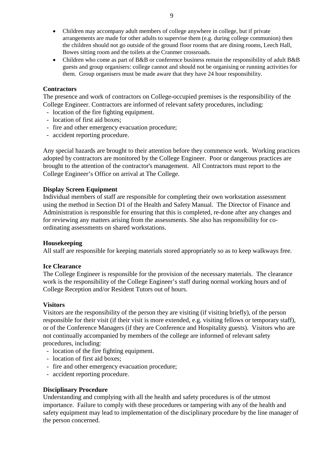- Children may accompany adult members of college anywhere in college, but if private arrangements are made for other adults to supervise them (e.g. during college communion) then the children should not go outside of the ground floor rooms that are dining rooms, Leech Hall, Bowes sitting room and the toilets at the Cranmer crossroads.
- Children who come as part of B&B or conference business remain the responsibility of adult B&B guests and group organisers: college cannot and should not be organising or running activities for them. Group organisers must be made aware that they have 24 hour responsibility.

## **Contractors**

The presence and work of contractors on College-occupied premises is the responsibility of the College Engineer. Contractors are informed of relevant safety procedures, including:

- location of the fire fighting equipment.
- location of first aid boxes;
- fire and other emergency evacuation procedure;
- accident reporting procedure.

Any special hazards are brought to their attention before they commence work. Working practices adopted by contractors are monitored by the College Engineer. Poor or dangerous practices are brought to the attention of the contractor's management. All Contractors must report to the College Engineer's Office on arrival at The College.

## **Display Screen Equipment**

Individual members of staff are responsible for completing their own workstation assessment using the method in Section D1 of the Health and Safety Manual. The Director of Finance and Administration is responsible for ensuring that this is completed, re-done after any changes and for reviewing any matters arising from the assessments. She also has responsibility for coordinating assessments on shared workstations.

## **Housekeeping**

All staff are responsible for keeping materials stored appropriately so as to keep walkways free.

## **Ice Clearance**

The College Engineer is responsible for the provision of the necessary materials. The clearance work is the responsibility of the College Engineer's staff during normal working hours and of College Reception and/or Resident Tutors out of hours.

## **Visitors**

Visitors are the responsibility of the person they are visiting (if visiting briefly), of the person responsible for their visit (if their visit is more extended, e.g. visiting fellows or temporary staff), or of the Conference Managers (if they are Conference and Hospitality guests). Visitors who are not continually accompanied by members of the college are informed of relevant safety procedures, including:

- location of the fire fighting equipment.
- location of first aid boxes;
- fire and other emergency evacuation procedure;
- accident reporting procedure.

## **Disciplinary Procedure**

Understanding and complying with all the health and safety procedures is of the utmost importance. Failure to comply with these procedures or tampering with any of the health and safety equipment may lead to implementation of the disciplinary procedure by the line manager of the person concerned.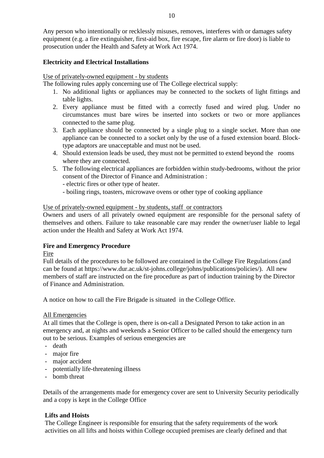Any person who intentionally or recklessly misuses, removes, interferes with or damages safety equipment (e.g. a fire extinguisher, first-aid box, fire escape, fire alarm or fire door) is liable to prosecution under the Health and Safety at Work Act 1974.

## **Electricity and Electrical Installations**

Use of privately-owned equipment - by students

The following rules apply concerning use of The College electrical supply:

- 1. No additional lights or appliances may be connected to the sockets of light fittings and table lights.
- 2. Every appliance must be fitted with a correctly fused and wired plug. Under no circumstances must bare wires be inserted into sockets or two or more appliances connected to the same plug.
- 3. Each appliance should be connected by a single plug to a single socket. More than one appliance can be connected to a socket only by the use of a fused extension board. Blocktype adaptors are unacceptable and must not be used.
- 4. Should extension leads be used, they must not be permitted to extend beyond the rooms where they are connected.
- 5. The following electrical appliances are forbidden within study-bedrooms, without the prior consent of the Director of Finance and Administration :
	- electric fires or other type of heater.
	- boiling rings, toasters, microwave ovens or other type of cooking appliance

## Use of privately-owned equipment - by students, staff or contractors

Owners and users of all privately owned equipment are responsible for the personal safety of themselves and others. Failure to take reasonable care may render the owner/user liable to legal action under the Health and Safety at Work Act 1974.

## **Fire and Emergency Procedure**

## Fire

Full details of the procedures to be followed are contained in the College Fire Regulations (and can be found at https://www.dur.ac.uk/st-johns.college/johns/publications/policies/). All new members of staff are instructed on the fire procedure as part of induction training by the Director of Finance and Administration.

A notice on how to call the Fire Brigade is situated in the College Office.

## All Emergencies

At all times that the College is open, there is on-call a Designated Person to take action in an emergency and, at nights and weekends a Senior Officer to be called should the emergency turn out to be serious. Examples of serious emergencies are

- death
- major fire
- major accident
- potentially life-threatening illness
- bomb threat

Details of the arrangements made for emergency cover are sent to University Security periodically and a copy is kept in the College Office

## **Lifts and Hoists**

The College Engineer is responsible for ensuring that the safety requirements of the work activities on all lifts and hoists within College occupied premises are clearly defined and that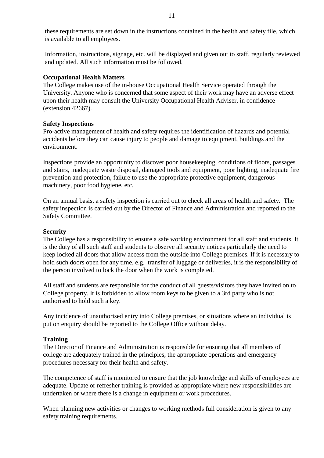these requirements are set down in the instructions contained in the health and safety file, which is available to all employees.

Information, instructions, signage, etc. will be displayed and given out to staff, regularly reviewed and updated. All such information must be followed.

#### **Occupational Health Matters**

The College makes use of the in-house Occupational Health Service operated through the University. Anyone who is concerned that some aspect of their work may have an adverse effect upon their health may consult the University Occupational Health Adviser, in confidence (extension 42667).

#### **Safety Inspections**

Pro-active management of health and safety requires the identification of hazards and potential accidents before they can cause injury to people and damage to equipment, buildings and the environment.

Inspections provide an opportunity to discover poor housekeeping, conditions of floors, passages and stairs, inadequate waste disposal, damaged tools and equipment, poor lighting, inadequate fire prevention and protection, failure to use the appropriate protective equipment, dangerous machinery, poor food hygiene, etc.

On an annual basis, a safety inspection is carried out to check all areas of health and safety. The safety inspection is carried out by the Director of Finance and Administration and reported to the Safety Committee.

#### **Security**

The College has a responsibility to ensure a safe working environment for all staff and students. It is the duty of all such staff and students to observe all security notices particularly the need to keep locked all doors that allow access from the outside into College premises. If it is necessary to hold such doors open for any time, e.g. transfer of luggage or deliveries, it is the responsibility of the person involved to lock the door when the work is completed.

All staff and students are responsible for the conduct of all guests/visitors they have invited on to College property. It is forbidden to allow room keys to be given to a 3rd party who is not authorised to hold such a key.

Any incidence of unauthorised entry into College premises, or situations where an individual is put on enquiry should be reported to the College Office without delay.

## **Training**

The Director of Finance and Administration is responsible for ensuring that all members of college are adequately trained in the principles, the appropriate operations and emergency procedures necessary for their health and safety.

The competence of staff is monitored to ensure that the job knowledge and skills of employees are adequate. Update or refresher training is provided as appropriate where new responsibilities are undertaken or where there is a change in equipment or work procedures.

When planning new activities or changes to working methods full consideration is given to any safety training requirements.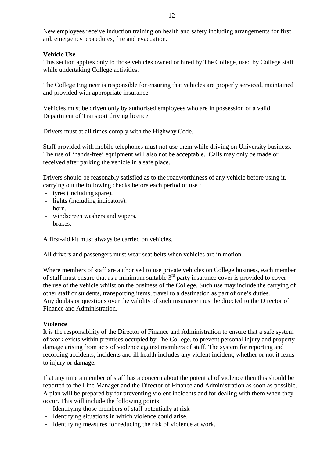New employees receive induction training on health and safety including arrangements for first aid, emergency procedures, fire and evacuation.

## **Vehicle Use**

This section applies only to those vehicles owned or hired by The College, used by College staff while undertaking College activities.

The College Engineer is responsible for ensuring that vehicles are properly serviced, maintained and provided with appropriate insurance.

Vehicles must be driven only by authorised employees who are in possession of a valid Department of Transport driving licence.

Drivers must at all times comply with the Highway Code.

Staff provided with mobile telephones must not use them while driving on University business. The use of 'hands-free' equipment will also not be acceptable. Calls may only be made or received after parking the vehicle in a safe place.

Drivers should be reasonably satisfied as to the roadworthiness of any vehicle before using it, carrying out the following checks before each period of use :

- tyres (including spare).
- lights (including indicators).
- horn.
- windscreen washers and wipers.
- brakes.

A first-aid kit must always be carried on vehicles.

All drivers and passengers must wear seat belts when vehicles are in motion.

Where members of staff are authorised to use private vehicles on College business, each member of staff must ensure that as a minimum suitable 3rd party insurance cover is provided to cover the use of the vehicle whilst on the business of the College. Such use may include the carrying of other staff or students, transporting items, travel to a destination as part of one's duties. Any doubts or questions over the validity of such insurance must be directed to the Director of Finance and Administration.

#### **Violence**

It is the responsibility of the Director of Finance and Administration to ensure that a safe system of work exists within premises occupied by The College, to prevent personal injury and property damage arising from acts of violence against members of staff. The system for reporting and recording accidents, incidents and ill health includes any violent incident, whether or not it leads to injury or damage.

If at any time a member of staff has a concern about the potential of violence then this should be reported to the Line Manager and the Director of Finance and Administration as soon as possible. A plan will be prepared by for preventing violent incidents and for dealing with them when they occur. This will include the following points:

- Identifying those members of staff potentially at risk
- Identifying situations in which violence could arise.
- Identifying measures for reducing the risk of violence at work.